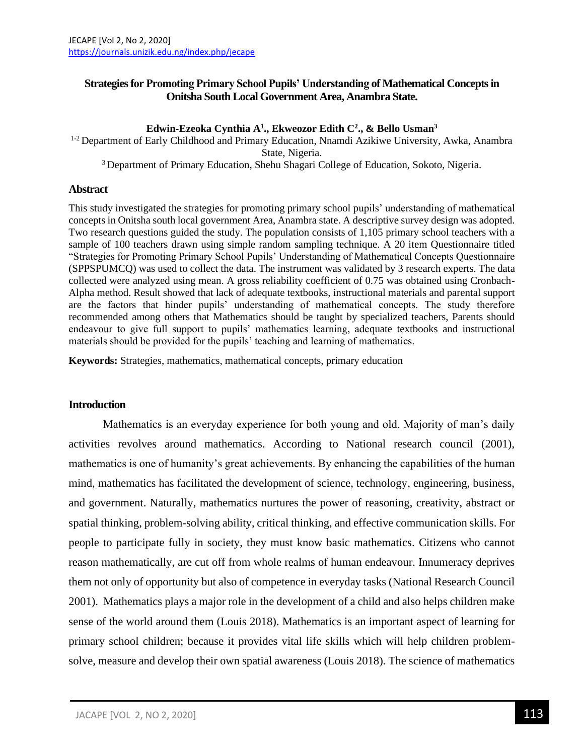# **Strategies for Promoting Primary School Pupils' Understanding of Mathematical Concepts in Onitsha South Local Government Area, Anambra State.**

### **Edwin-Ezeoka Cynthia A<sup>1</sup> ., Ekweozor Edith C<sup>2</sup> ., & Bello Usman<sup>3</sup>**

<sup>1-2</sup> Department of Early Childhood and Primary Education, Nnamdi Azikiwe University, Awka, Anambra State, Nigeria.

<sup>3</sup> Department of Primary Education, Shehu Shagari College of Education, Sokoto, Nigeria.

#### **Abstract**

This study investigated the strategies for promoting primary school pupils' understanding of mathematical concepts in Onitsha south local government Area, Anambra state. A descriptive survey design was adopted. Two research questions guided the study. The population consists of 1,105 primary school teachers with a sample of 100 teachers drawn using simple random sampling technique. A 20 item Questionnaire titled "Strategies for Promoting Primary School Pupils' Understanding of Mathematical Concepts Questionnaire (SPPSPUMCQ) was used to collect the data. The instrument was validated by 3 research experts. The data collected were analyzed using mean. A gross reliability coefficient of 0.75 was obtained using Cronbach-Alpha method. Result showed that lack of adequate textbooks, instructional materials and parental support are the factors that hinder pupils' understanding of mathematical concepts. The study therefore recommended among others that Mathematics should be taught by specialized teachers, Parents should endeavour to give full support to pupils' mathematics learning, adequate textbooks and instructional materials should be provided for the pupils' teaching and learning of mathematics.

**Keywords:** Strategies, mathematics, mathematical concepts, primary education

#### **Introduction**

Mathematics is an everyday experience for both young and old. Majority of man's daily activities revolves around mathematics. According to National research council (2001), mathematics is one of humanity's great achievements. By enhancing the capabilities of the human mind, mathematics has facilitated the development of science, technology, engineering, business, and government. Naturally, mathematics nurtures the power of reasoning, creativity, abstract or spatial thinking, problem-solving ability, critical thinking, and effective communication skills. For people to participate fully in society, they must know basic mathematics. Citizens who cannot reason mathematically, are cut off from whole realms of human endeavour. Innumeracy deprives them not only of opportunity but also of competence in everyday tasks (National Research Council 2001). Mathematics plays a major role in the development of a child and also helps children make sense of the world around them (Louis 2018). Mathematics is an important aspect of learning for primary school children; because it provides vital life skills which will help children problemsolve, measure and develop their own spatial awareness (Louis 2018). The science of mathematics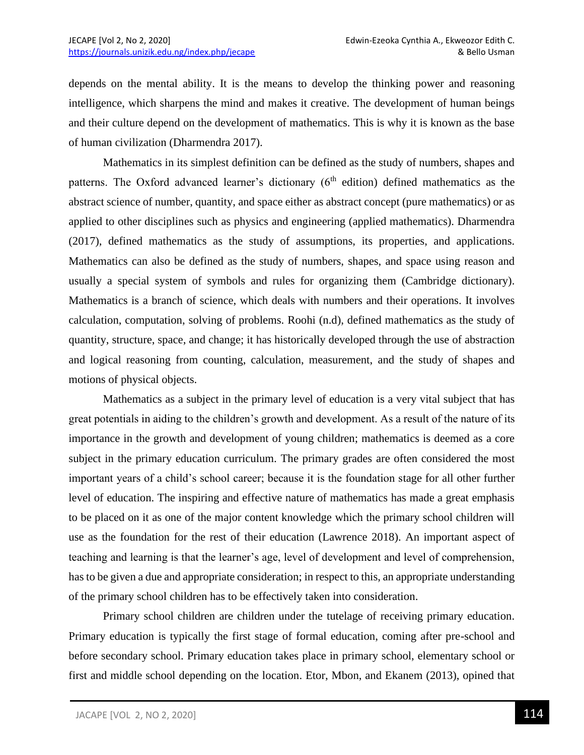depends on the mental ability. It is the means to develop the thinking power and reasoning intelligence, which sharpens the mind and makes it creative. The development of human beings and their culture depend on the development of mathematics. This is why it is known as the base of human civilization (Dharmendra 2017).

Mathematics in its simplest definition can be defined as the study of numbers, shapes and patterns. The Oxford advanced learner's dictionary  $(6<sup>th</sup>$  edition) defined mathematics as the abstract science of number, quantity, and space either as abstract concept (pure mathematics) or as applied to other disciplines such as physics and engineering (applied mathematics). Dharmendra (2017), defined mathematics as the study of assumptions, its properties, and applications. Mathematics can also be defined as the study of numbers, shapes, and space using reason and usually a special system of symbols and rules for organizing them (Cambridge dictionary). Mathematics is a branch of science, which deals with numbers and their operations. It involves calculation, computation, solving of problems. Roohi (n.d), defined mathematics as the study of quantity, structure, space, and change; it has historically developed through the use of abstraction and logical reasoning from counting, calculation, measurement, and the study of shapes and motions of physical objects.

Mathematics as a subject in the primary level of education is a very vital subject that has great potentials in aiding to the children's growth and development. As a result of the nature of its importance in the growth and development of young children; mathematics is deemed as a core subject in the primary education curriculum. The primary grades are often considered the most important years of a child's school career; because it is the foundation stage for all other further level of education. The inspiring and effective nature of mathematics has made a great emphasis to be placed on it as one of the major content knowledge which the primary school children will use as the foundation for the rest of their education (Lawrence 2018). An important aspect of teaching and learning is that the learner's age, level of development and level of comprehension, has to be given a due and appropriate consideration; in respect to this, an appropriate understanding of the primary school children has to be effectively taken into consideration.

Primary school children are children under the tutelage of receiving primary education. Primary education is typically the first stage of formal education, coming after pre-school and before secondary school. Primary education takes place in primary school, elementary school or first and middle school depending on the location. Etor, Mbon, and Ekanem (2013), opined that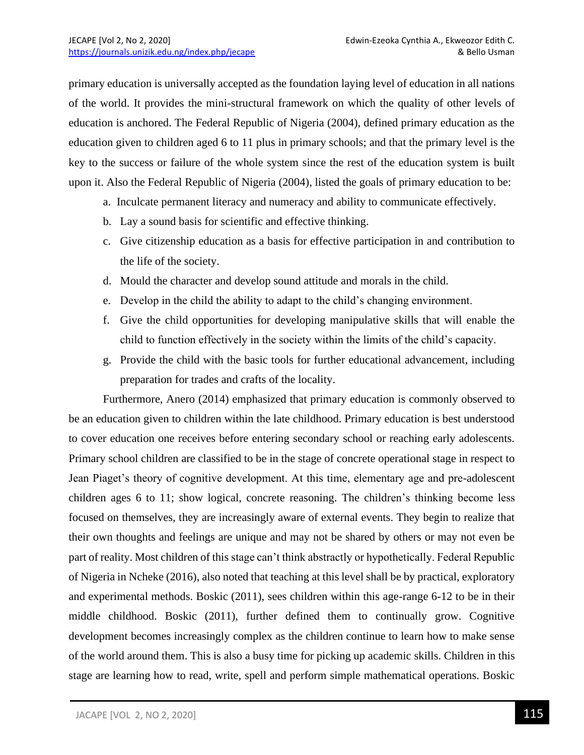primary education is universally accepted as the foundation laying level of education in all nations of the world. It provides the mini-structural framework on which the quality of other levels of education is anchored. The Federal Republic of Nigeria (2004), defined primary education as the education given to children aged 6 to 11 plus in primary schools; and that the primary level is the key to the success or failure of the whole system since the rest of the education system is built upon it. Also the Federal Republic of Nigeria (2004), listed the goals of primary education to be:

- a. Inculcate permanent literacy and numeracy and ability to communicate effectively.
- b. Lay a sound basis for scientific and effective thinking.
- c. Give citizenship education as a basis for effective participation in and contribution to the life of the society.
- d. Mould the character and develop sound attitude and morals in the child.
- e. Develop in the child the ability to adapt to the child's changing environment.
- f. Give the child opportunities for developing manipulative skills that will enable the child to function effectively in the society within the limits of the child's capacity.
- g. Provide the child with the basic tools for further educational advancement, including preparation for trades and crafts of the locality.

Furthermore, Anero (2014) emphasized that primary education is commonly observed to be an education given to children within the late childhood. Primary education is best understood to cover education one receives before entering secondary school or reaching early adolescents. Primary school children are classified to be in the stage of concrete operational stage in respect to Jean Piaget's theory of cognitive development. At this time, elementary age and pre-adolescent children ages 6 to 11; show logical, concrete reasoning. The children's thinking become less focused on themselves, they are increasingly aware of external events. They begin to realize that their own thoughts and feelings are unique and may not be shared by others or may not even be part of reality. Most children of this stage can't think abstractly or hypothetically. Federal Republic of Nigeria in Ncheke (2016), also noted that teaching at this level shall be by practical, exploratory and experimental methods. Boskic (2011), sees children within this age-range 6-12 to be in their middle childhood. Boskic (2011), further defined them to continually grow. Cognitive development becomes increasingly complex as the children continue to learn how to make sense of the world around them. This is also a busy time for picking up academic skills. Children in this stage are learning how to read, write, spell and perform simple mathematical operations. Boskic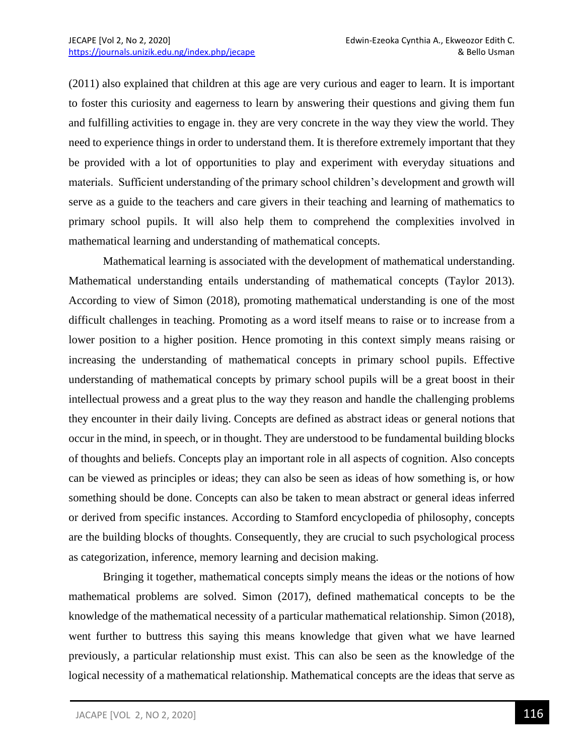(2011) also explained that children at this age are very curious and eager to learn. It is important to foster this curiosity and eagerness to learn by answering their questions and giving them fun and fulfilling activities to engage in. they are very concrete in the way they view the world. They need to experience things in order to understand them. It is therefore extremely important that they be provided with a lot of opportunities to play and experiment with everyday situations and materials. Sufficient understanding of the primary school children's development and growth will serve as a guide to the teachers and care givers in their teaching and learning of mathematics to primary school pupils. It will also help them to comprehend the complexities involved in mathematical learning and understanding of mathematical concepts.

Mathematical learning is associated with the development of mathematical understanding. Mathematical understanding entails understanding of mathematical concepts (Taylor 2013). According to view of Simon (2018), promoting mathematical understanding is one of the most difficult challenges in teaching. Promoting as a word itself means to raise or to increase from a lower position to a higher position. Hence promoting in this context simply means raising or increasing the understanding of mathematical concepts in primary school pupils. Effective understanding of mathematical concepts by primary school pupils will be a great boost in their intellectual prowess and a great plus to the way they reason and handle the challenging problems they encounter in their daily living. Concepts are defined as abstract ideas or general notions that occur in the mind, in speech, or in thought. They are understood to be fundamental building blocks of thoughts and beliefs. Concepts play an important role in all aspects of cognition. Also concepts can be viewed as principles or ideas; they can also be seen as ideas of how something is, or how something should be done. Concepts can also be taken to mean abstract or general ideas inferred or derived from specific instances. According to Stamford encyclopedia of philosophy, concepts are the building blocks of thoughts. Consequently, they are crucial to such psychological process as categorization, inference, memory learning and decision making.

Bringing it together, mathematical concepts simply means the ideas or the notions of how mathematical problems are solved. Simon (2017), defined mathematical concepts to be the knowledge of the mathematical necessity of a particular mathematical relationship. Simon (2018), went further to buttress this saying this means knowledge that given what we have learned previously, a particular relationship must exist. This can also be seen as the knowledge of the logical necessity of a mathematical relationship. Mathematical concepts are the ideas that serve as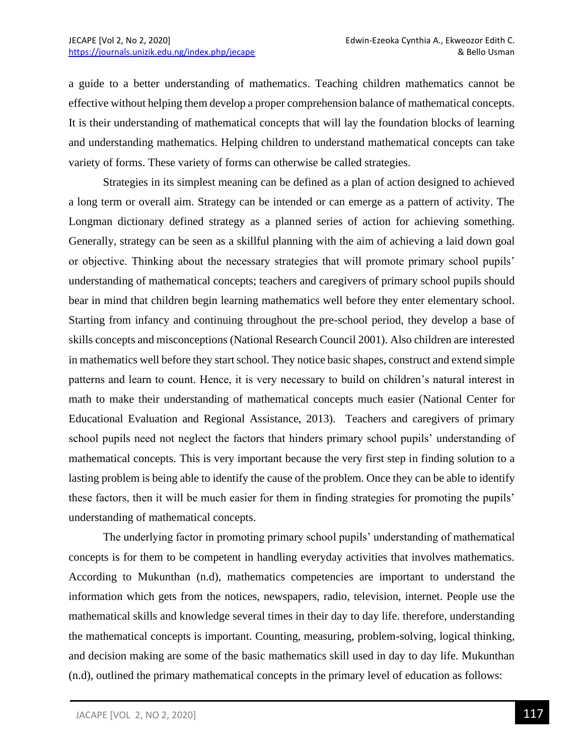a guide to a better understanding of mathematics. Teaching children mathematics cannot be effective without helping them develop a proper comprehension balance of mathematical concepts. It is their understanding of mathematical concepts that will lay the foundation blocks of learning and understanding mathematics. Helping children to understand mathematical concepts can take variety of forms. These variety of forms can otherwise be called strategies.

Strategies in its simplest meaning can be defined as a plan of action designed to achieved a long term or overall aim. Strategy can be intended or can emerge as a pattern of activity. The Longman dictionary defined strategy as a planned series of action for achieving something. Generally, strategy can be seen as a skillful planning with the aim of achieving a laid down goal or objective. Thinking about the necessary strategies that will promote primary school pupils' understanding of mathematical concepts; teachers and caregivers of primary school pupils should bear in mind that children begin learning mathematics well before they enter elementary school. Starting from infancy and continuing throughout the pre-school period, they develop a base of skills concepts and misconceptions (National Research Council 2001). Also children are interested in mathematics well before they start school. They notice basic shapes, construct and extend simple patterns and learn to count. Hence, it is very necessary to build on children's natural interest in math to make their understanding of mathematical concepts much easier (National Center for Educational Evaluation and Regional Assistance, 2013). Teachers and caregivers of primary school pupils need not neglect the factors that hinders primary school pupils' understanding of mathematical concepts. This is very important because the very first step in finding solution to a lasting problem is being able to identify the cause of the problem. Once they can be able to identify these factors, then it will be much easier for them in finding strategies for promoting the pupils' understanding of mathematical concepts.

The underlying factor in promoting primary school pupils' understanding of mathematical concepts is for them to be competent in handling everyday activities that involves mathematics. According to Mukunthan (n.d), mathematics competencies are important to understand the information which gets from the notices, newspapers, radio, television, internet. People use the mathematical skills and knowledge several times in their day to day life. therefore, understanding the mathematical concepts is important. Counting, measuring, problem-solving, logical thinking, and decision making are some of the basic mathematics skill used in day to day life. Mukunthan (n.d), outlined the primary mathematical concepts in the primary level of education as follows: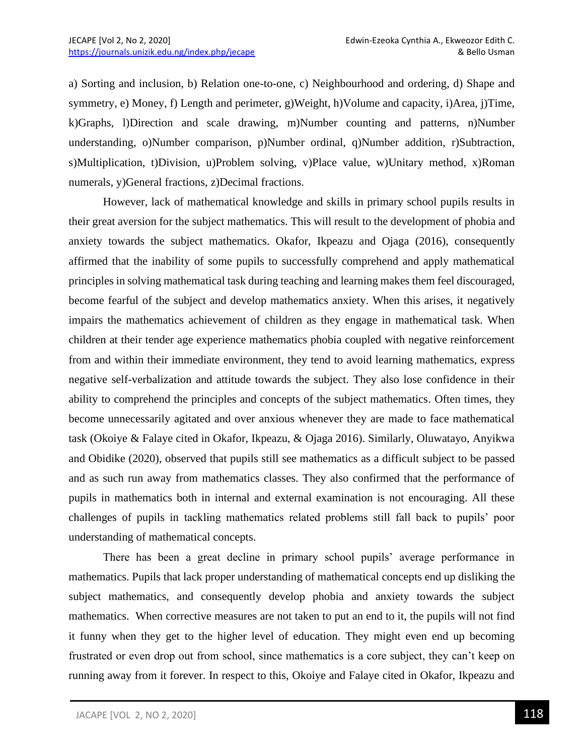a) Sorting and inclusion, b) Relation one-to-one, c) Neighbourhood and ordering, d) Shape and symmetry, e) Money, f) Length and perimeter, g)Weight, h)Volume and capacity, i)Area, j)Time, k)Graphs, l)Direction and scale drawing, m)Number counting and patterns, n)Number understanding, o)Number comparison, p)Number ordinal, q)Number addition, r)Subtraction, s)Multiplication, t)Division, u)Problem solving, v)Place value, w)Unitary method, x)Roman numerals, y)General fractions, z)Decimal fractions.

However, lack of mathematical knowledge and skills in primary school pupils results in their great aversion for the subject mathematics. This will result to the development of phobia and anxiety towards the subject mathematics. Okafor, Ikpeazu and Ojaga (2016), consequently affirmed that the inability of some pupils to successfully comprehend and apply mathematical principles in solving mathematical task during teaching and learning makes them feel discouraged, become fearful of the subject and develop mathematics anxiety. When this arises, it negatively impairs the mathematics achievement of children as they engage in mathematical task. When children at their tender age experience mathematics phobia coupled with negative reinforcement from and within their immediate environment, they tend to avoid learning mathematics, express negative self-verbalization and attitude towards the subject. They also lose confidence in their ability to comprehend the principles and concepts of the subject mathematics. Often times, they become unnecessarily agitated and over anxious whenever they are made to face mathematical task (Okoiye & Falaye cited in Okafor, Ikpeazu, & Ojaga 2016). Similarly, Oluwatayo, Anyikwa and Obidike (2020), observed that pupils still see mathematics as a difficult subject to be passed and as such run away from mathematics classes. They also confirmed that the performance of pupils in mathematics both in internal and external examination is not encouraging. All these challenges of pupils in tackling mathematics related problems still fall back to pupils' poor understanding of mathematical concepts.

There has been a great decline in primary school pupils' average performance in mathematics. Pupils that lack proper understanding of mathematical concepts end up disliking the subject mathematics, and consequently develop phobia and anxiety towards the subject mathematics. When corrective measures are not taken to put an end to it, the pupils will not find it funny when they get to the higher level of education. They might even end up becoming frustrated or even drop out from school, since mathematics is a core subject, they can't keep on running away from it forever. In respect to this, Okoiye and Falaye cited in Okafor, Ikpeazu and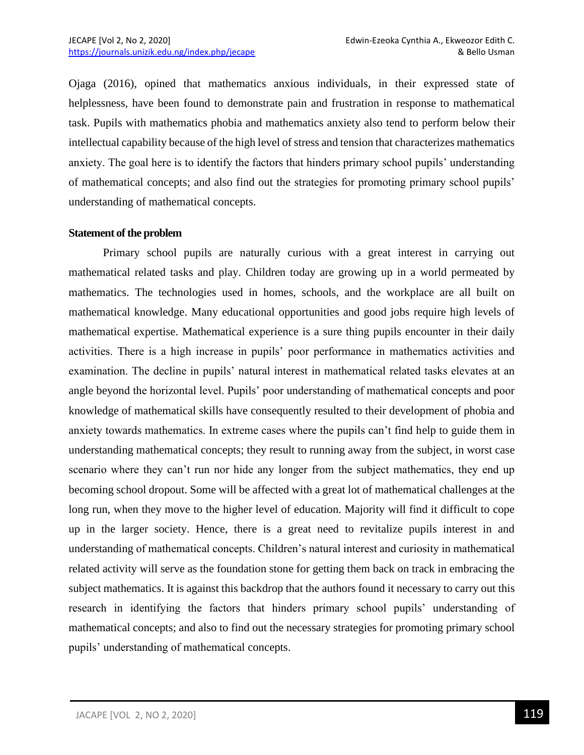Ojaga (2016), opined that mathematics anxious individuals, in their expressed state of helplessness, have been found to demonstrate pain and frustration in response to mathematical task. Pupils with mathematics phobia and mathematics anxiety also tend to perform below their intellectual capability because of the high level of stress and tension that characterizes mathematics anxiety. The goal here is to identify the factors that hinders primary school pupils' understanding of mathematical concepts; and also find out the strategies for promoting primary school pupils' understanding of mathematical concepts.

### **Statement of the problem**

Primary school pupils are naturally curious with a great interest in carrying out mathematical related tasks and play. Children today are growing up in a world permeated by mathematics. The technologies used in homes, schools, and the workplace are all built on mathematical knowledge. Many educational opportunities and good jobs require high levels of mathematical expertise. Mathematical experience is a sure thing pupils encounter in their daily activities. There is a high increase in pupils' poor performance in mathematics activities and examination. The decline in pupils' natural interest in mathematical related tasks elevates at an angle beyond the horizontal level. Pupils' poor understanding of mathematical concepts and poor knowledge of mathematical skills have consequently resulted to their development of phobia and anxiety towards mathematics. In extreme cases where the pupils can't find help to guide them in understanding mathematical concepts; they result to running away from the subject, in worst case scenario where they can't run nor hide any longer from the subject mathematics, they end up becoming school dropout. Some will be affected with a great lot of mathematical challenges at the long run, when they move to the higher level of education. Majority will find it difficult to cope up in the larger society. Hence, there is a great need to revitalize pupils interest in and understanding of mathematical concepts. Children's natural interest and curiosity in mathematical related activity will serve as the foundation stone for getting them back on track in embracing the subject mathematics. It is against this backdrop that the authors found it necessary to carry out this research in identifying the factors that hinders primary school pupils' understanding of mathematical concepts; and also to find out the necessary strategies for promoting primary school pupils' understanding of mathematical concepts.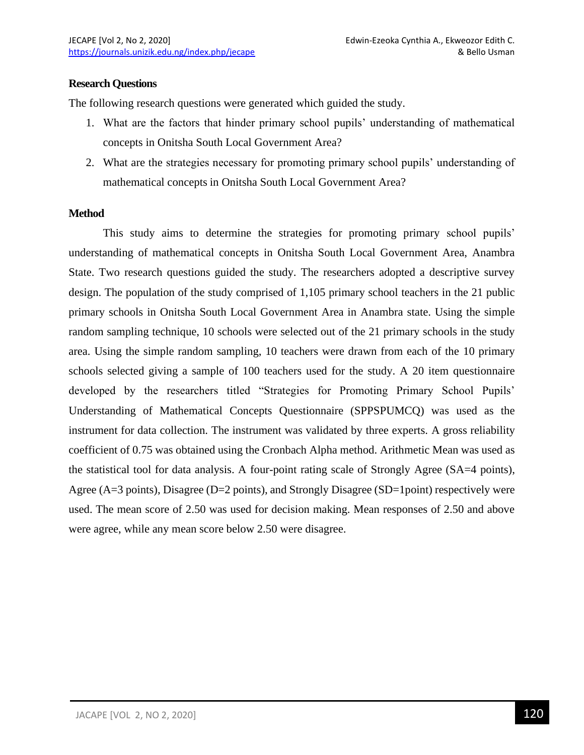## **Research Questions**

The following research questions were generated which guided the study.

- 1. What are the factors that hinder primary school pupils' understanding of mathematical concepts in Onitsha South Local Government Area?
- 2. What are the strategies necessary for promoting primary school pupils' understanding of mathematical concepts in Onitsha South Local Government Area?

## **Method**

This study aims to determine the strategies for promoting primary school pupils' understanding of mathematical concepts in Onitsha South Local Government Area, Anambra State. Two research questions guided the study. The researchers adopted a descriptive survey design. The population of the study comprised of 1,105 primary school teachers in the 21 public primary schools in Onitsha South Local Government Area in Anambra state. Using the simple random sampling technique, 10 schools were selected out of the 21 primary schools in the study area. Using the simple random sampling, 10 teachers were drawn from each of the 10 primary schools selected giving a sample of 100 teachers used for the study. A 20 item questionnaire developed by the researchers titled "Strategies for Promoting Primary School Pupils' Understanding of Mathematical Concepts Questionnaire (SPPSPUMCQ) was used as the instrument for data collection. The instrument was validated by three experts. A gross reliability coefficient of 0.75 was obtained using the Cronbach Alpha method. Arithmetic Mean was used as the statistical tool for data analysis. A four-point rating scale of Strongly Agree (SA=4 points), Agree (A=3 points), Disagree (D=2 points), and Strongly Disagree (SD=1 point) respectively were used. The mean score of 2.50 was used for decision making. Mean responses of 2.50 and above were agree, while any mean score below 2.50 were disagree.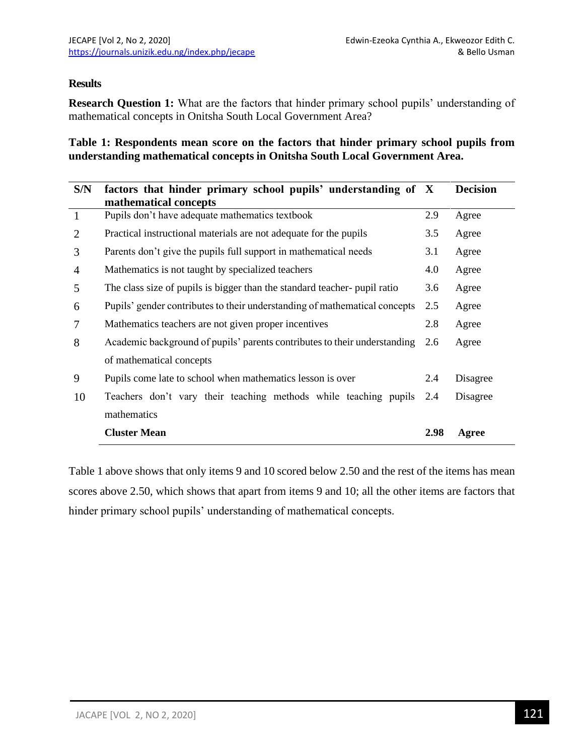# **Results**

**Research Question 1:** What are the factors that hinder primary school pupils' understanding of mathematical concepts in Onitsha South Local Government Area?

**Table 1: Respondents mean score on the factors that hinder primary school pupils from understanding mathematical concepts in Onitsha South Local Government Area.**

| S/N            | factors that hinder primary school pupils' understanding of X<br>mathematical concepts |      | <b>Decision</b> |
|----------------|----------------------------------------------------------------------------------------|------|-----------------|
| $\mathbf{1}$   | Pupils don't have adequate mathematics textbook                                        | 2.9  | Agree           |
| $\overline{2}$ | Practical instructional materials are not adequate for the pupils                      | 3.5  | Agree           |
| 3              | Parents don't give the pupils full support in mathematical needs                       | 3.1  | Agree           |
| 4              | Mathematics is not taught by specialized teachers                                      | 4.0  | Agree           |
| 5              | The class size of pupils is bigger than the standard teacher-pupil ratio               | 3.6  | Agree           |
| 6              | Pupils' gender contributes to their understanding of mathematical concepts             | 2.5  | Agree           |
| 7              | Mathematics teachers are not given proper incentives                                   | 2.8  | Agree           |
| 8              | Academic background of pupils' parents contributes to their understanding              | 2.6  | Agree           |
|                | of mathematical concepts                                                               |      |                 |
| 9              | Pupils come late to school when mathematics lesson is over                             | 2.4  | Disagree        |
| 10             | Teachers don't vary their teaching methods while teaching pupils                       | 2.4  | Disagree        |
|                | mathematics                                                                            |      |                 |
|                | <b>Cluster Mean</b>                                                                    | 2.98 | Agree           |

Table 1 above shows that only items 9 and 10 scored below 2.50 and the rest of the items has mean scores above 2.50, which shows that apart from items 9 and 10; all the other items are factors that hinder primary school pupils' understanding of mathematical concepts.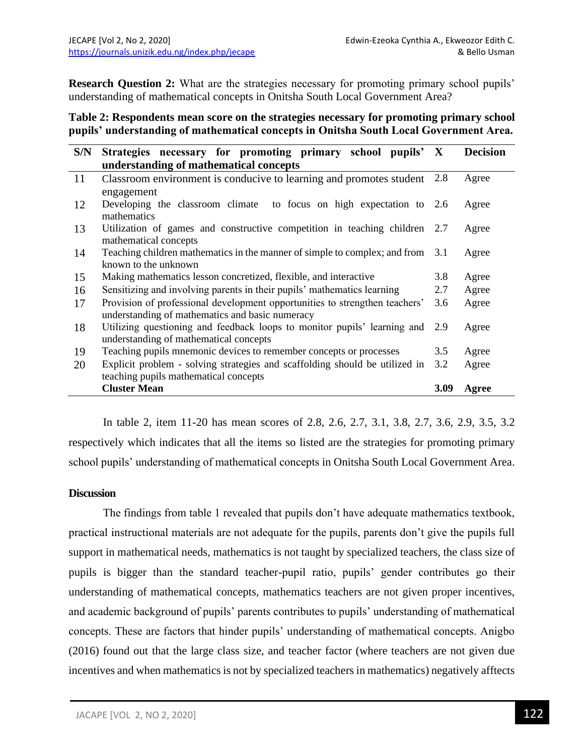**Research Question 2:** What are the strategies necessary for promoting primary school pupils' understanding of mathematical concepts in Onitsha South Local Government Area?

# **Table 2: Respondents mean score on the strategies necessary for promoting primary school pupils' understanding of mathematical concepts in Onitsha South Local Government Area.**

| S/N | Strategies necessary for promoting primary school pupils' X                    |      | <b>Decision</b> |
|-----|--------------------------------------------------------------------------------|------|-----------------|
|     | understanding of mathematical concepts                                         |      |                 |
| 11  | Classroom environment is conducive to learning and promotes student 2.8        |      | Agree           |
|     | engagement                                                                     |      |                 |
| 12  | Developing the classroom climate to focus on high expectation to 2.6           |      | Agree           |
|     | mathematics                                                                    |      |                 |
| 13  | Utilization of games and constructive competition in teaching children 2.7     |      | Agree           |
|     | mathematical concepts                                                          |      |                 |
| 14  | Teaching children mathematics in the manner of simple to complex; and from 3.1 |      | Agree           |
|     | known to the unknown                                                           |      |                 |
| 15  | Making mathematics lesson concretized, flexible, and interactive               | 3.8  | Agree           |
| 16  | Sensitizing and involving parents in their pupils' mathematics learning        | 2.7  | Agree           |
| 17  | Provision of professional development opportunities to strengthen teachers'    | 3.6  | Agree           |
|     | understanding of mathematics and basic numeracy                                |      |                 |
| 18  | Utilizing questioning and feedback loops to monitor pupils' learning and 2.9   |      | Agree           |
|     | understanding of mathematical concepts                                         |      |                 |
| 19  | Teaching pupils mnemonic devices to remember concepts or processes             | 3.5  | Agree           |
| 20  | Explicit problem - solving strategies and scaffolding should be utilized in    | 3.2  | Agree           |
|     | teaching pupils mathematical concepts                                          |      |                 |
|     | <b>Cluster Mean</b>                                                            | 3.09 | Agree           |

In table 2, item 11-20 has mean scores of 2.8, 2.6, 2.7, 3.1, 3.8, 2.7, 3.6, 2.9, 3.5, 3.2 respectively which indicates that all the items so listed are the strategies for promoting primary school pupils' understanding of mathematical concepts in Onitsha South Local Government Area.

## **Discussion**

The findings from table 1 revealed that pupils don't have adequate mathematics textbook, practical instructional materials are not adequate for the pupils, parents don't give the pupils full support in mathematical needs, mathematics is not taught by specialized teachers, the class size of pupils is bigger than the standard teacher-pupil ratio, pupils' gender contributes go their understanding of mathematical concepts, mathematics teachers are not given proper incentives, and academic background of pupils' parents contributes to pupils' understanding of mathematical concepts. These are factors that hinder pupils' understanding of mathematical concepts. Anigbo (2016) found out that the large class size, and teacher factor (where teachers are not given due incentives and when mathematics is not by specialized teachers in mathematics) negatively afftects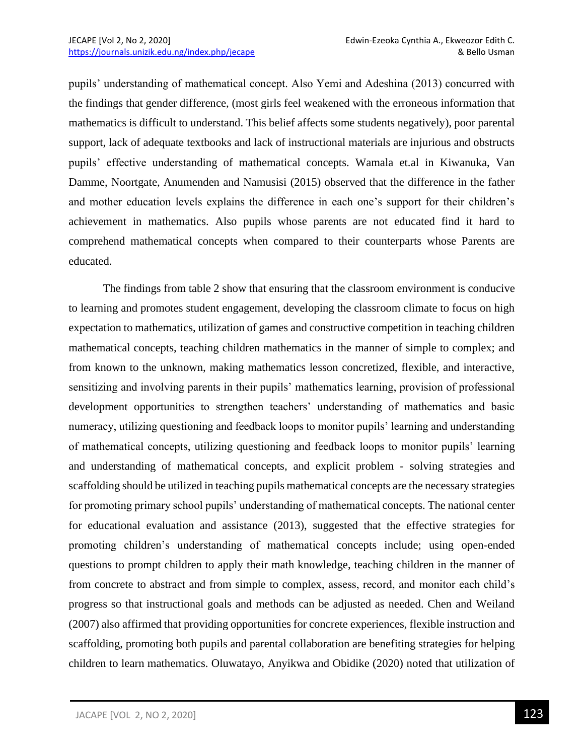pupils' understanding of mathematical concept. Also Yemi and Adeshina (2013) concurred with the findings that gender difference, (most girls feel weakened with the erroneous information that mathematics is difficult to understand. This belief affects some students negatively), poor parental support, lack of adequate textbooks and lack of instructional materials are injurious and obstructs pupils' effective understanding of mathematical concepts. Wamala et.al in Kiwanuka, Van Damme, Noortgate, Anumenden and Namusisi (2015) observed that the difference in the father and mother education levels explains the difference in each one's support for their children's achievement in mathematics. Also pupils whose parents are not educated find it hard to comprehend mathematical concepts when compared to their counterparts whose Parents are educated.

The findings from table 2 show that ensuring that the classroom environment is conducive to learning and promotes student engagement, developing the classroom climate to focus on high expectation to mathematics, utilization of games and constructive competition in teaching children mathematical concepts, teaching children mathematics in the manner of simple to complex; and from known to the unknown, making mathematics lesson concretized, flexible, and interactive, sensitizing and involving parents in their pupils' mathematics learning, provision of professional development opportunities to strengthen teachers' understanding of mathematics and basic numeracy, utilizing questioning and feedback loops to monitor pupils' learning and understanding of mathematical concepts, utilizing questioning and feedback loops to monitor pupils' learning and understanding of mathematical concepts, and explicit problem - solving strategies and scaffolding should be utilized in teaching pupils mathematical concepts are the necessary strategies for promoting primary school pupils' understanding of mathematical concepts. The national center for educational evaluation and assistance (2013), suggested that the effective strategies for promoting children's understanding of mathematical concepts include; using open-ended questions to prompt children to apply their math knowledge, teaching children in the manner of from concrete to abstract and from simple to complex, assess, record, and monitor each child's progress so that instructional goals and methods can be adjusted as needed. Chen and Weiland (2007) also affirmed that providing opportunities for concrete experiences, flexible instruction and scaffolding, promoting both pupils and parental collaboration are benefiting strategies for helping children to learn mathematics. Oluwatayo, Anyikwa and Obidike (2020) noted that utilization of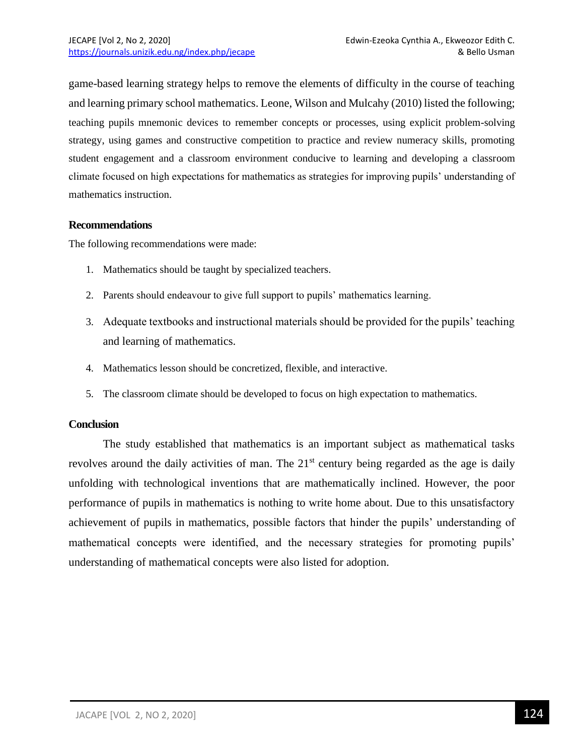game-based learning strategy helps to remove the elements of difficulty in the course of teaching and learning primary school mathematics. Leone, Wilson and Mulcahy (2010) listed the following; teaching pupils mnemonic devices to remember concepts or processes, using explicit problem-solving strategy, using games and constructive competition to practice and review numeracy skills, promoting student engagement and a classroom environment conducive to learning and developing a classroom climate focused on high expectations for mathematics as strategies for improving pupils' understanding of mathematics instruction.

## **Recommendations**

The following recommendations were made:

- 1. Mathematics should be taught by specialized teachers.
- 2. Parents should endeavour to give full support to pupils' mathematics learning.
- 3. Adequate textbooks and instructional materials should be provided for the pupils' teaching and learning of mathematics.
- 4. Mathematics lesson should be concretized, flexible, and interactive.
- 5. The classroom climate should be developed to focus on high expectation to mathematics.

#### **Conclusion**

The study established that mathematics is an important subject as mathematical tasks revolves around the daily activities of man. The 21<sup>st</sup> century being regarded as the age is daily unfolding with technological inventions that are mathematically inclined. However, the poor performance of pupils in mathematics is nothing to write home about. Due to this unsatisfactory achievement of pupils in mathematics, possible factors that hinder the pupils' understanding of mathematical concepts were identified, and the necessary strategies for promoting pupils' understanding of mathematical concepts were also listed for adoption.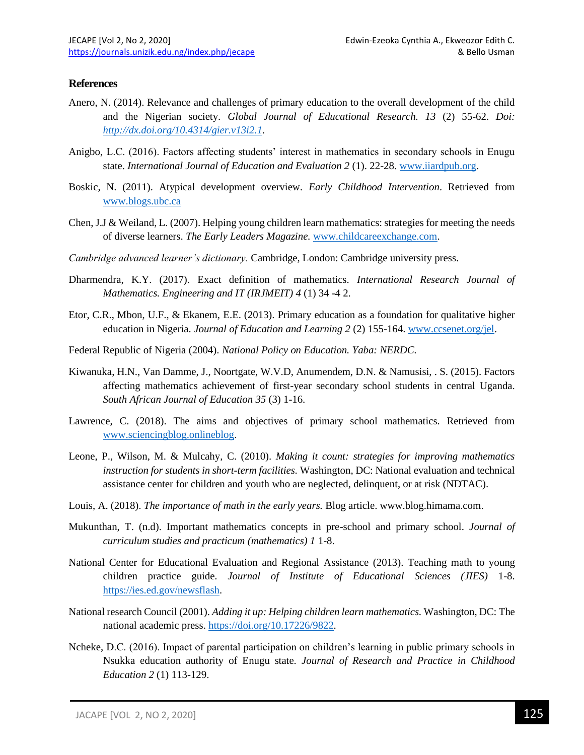### **References**

- Anero, N. (2014). Relevance and challenges of primary education to the overall development of the child and the Nigerian society. *Global Journal of Educational Research. 13* (2) 55-62. *Doi: [http://dx.doi.org/10.4314/gier.v13i2.1.](http://dx.doi.org/10.4314/gier.v13i2.1)*
- Anigbo, L.C. (2016). Factors affecting students' interest in mathematics in secondary schools in Enugu state. *International Journal of Education and Evaluation 2* (1). 22-28[. www.iiardpub.org.](http://www.iiardpub.org/)
- Boskic, N. (2011). Atypical development overview. *Early Childhood Intervention*. Retrieved from [www.blogs.ubc.ca](http://www.blogs.ubc.ca/)
- Chen, J.J & Weiland, L. (2007). Helping young children learn mathematics: strategies for meeting the needs of diverse learners. *The Early Leaders Magazine.* [www.childcareexchange.com.](http://www.childcareexchange.com/)
- *Cambridge advanced learner's dictionary.* Cambridge, London: Cambridge university press.
- Dharmendra, K.Y. (2017). Exact definition of mathematics. *International Research Journal of Mathematics. Engineering and IT (IRJMEIT) 4* (1) 34 -4 2.
- Etor, C.R., Mbon, U.F., & Ekanem, E.E. (2013). Primary education as a foundation for qualitative higher education in Nigeria. *Journal of Education and Learning 2* (2) 155-164. [www.ccsenet.org/jel.](http://www.ccsenet.org/jel)
- Federal Republic of Nigeria (2004). *National Policy on Education. Yaba: NERDC.*
- Kiwanuka, H.N., Van Damme, J., Noortgate, W.V.D, Anumendem, D.N. & Namusisi, . S. (2015). Factors affecting mathematics achievement of first-year secondary school students in central Uganda. *South African Journal of Education 35* (3) 1-16.
- Lawrence, C. (2018). The aims and objectives of primary school mathematics. Retrieved from [www.sciencingblog.onlineblog.](http://www.sciencingblog.onlineblog/)
- Leone, P., Wilson, M. & Mulcahy, C. (2010). *Making it count: strategies for improving mathematics instruction for students in short-term facilities.* Washington, DC: National evaluation and technical assistance center for children and youth who are neglected, delinquent, or at risk (NDTAC).
- Louis, A. (2018). *The importance of math in the early years.* Blog article. www.blog.himama.com.
- Mukunthan, T. (n.d). Important mathematics concepts in pre-school and primary school. *Journal of curriculum studies and practicum (mathematics) 1* 1-8.
- National Center for Educational Evaluation and Regional Assistance (2013). Teaching math to young children practice guide. *Journal of Institute of Educational Sciences (JIES)* 1-8. [https://ies.ed.gov/newsflash.](https://ies.ed.gov/newsflash)
- National research Council (2001). *Adding it up: Helping children learn mathematics.* Washington, DC: The national academic press.<https://doi.org/10.17226/9822>*.*
- Ncheke, D.C. (2016). Impact of parental participation on children's learning in public primary schools in Nsukka education authority of Enugu state*. Journal of Research and Practice in Childhood Education 2* (1) 113-129.